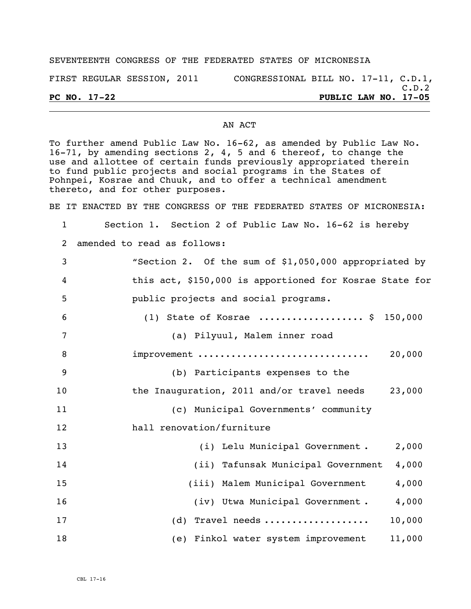## SEVENTEENTH CONGRESS OF THE FEDERATED STATES OF MICRONESIA

FIRST REGULAR SESSION, 2011 CONGRESSIONAL BILL NO. 17-11, C.D.1,

## AN ACT

To further amend Public Law No. 16-62, as amended by Public Law No. 16-71, by amending sections 2, 4, 5 and 6 thereof, to change the use and allottee of certain funds previously appropriated therein to fund public projects and social programs in the States of Pohnpei, Kosrae and Chuuk, and to offer a technical amendment thereto, and for other purposes.

BE IT ENACTED BY THE CONGRESS OF THE FEDERATED STATES OF MICRONESIA:

1 Section 1. Section 2 of Public Law No. 16-62 is hereby 2 amended to read as follows:

| 3              | "Section 2. Of the sum of \$1,050,000 appropriated by   |        |
|----------------|---------------------------------------------------------|--------|
| $\overline{4}$ | this act, \$150,000 is apportioned for Kosrae State for |        |
| 5              | public projects and social programs.                    |        |
| 6              | (1) State of Kosrae  \$ 150,000                         |        |
| 7              | (a) Pilyuul, Malem inner road                           |        |
| 8              | improvement                                             | 20,000 |
| $\overline{9}$ | (b) Participants expenses to the                        |        |
| 10             | the Inauguration, 2011 and/or travel needs              | 23,000 |
| 11             | (c) Municipal Governments' community                    |        |
| 12             | hall renovation/furniture                               |        |
| 13             | (i) Lelu Municipal Government.                          | 2,000  |
| 14             | (ii) Tafunsak Municipal Government                      | 4,000  |
| 15             | (iii) Malem Municipal Government                        | 4,000  |
| 16             | (iv) Utwa Municipal Government.                         | 4,000  |
| 17             | (d) Travel needs                                        | 10,000 |
| 18             | (e) Finkol water system improvement                     | 11,000 |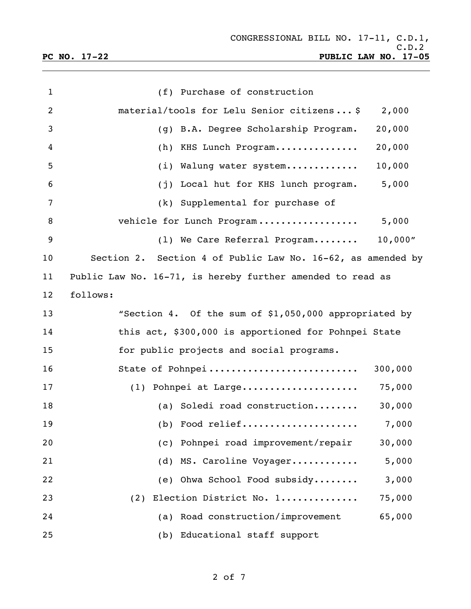| $\mathbf 1$ | (f) Purchase of construction                                |  |
|-------------|-------------------------------------------------------------|--|
| 2           | material/tools for Lelu Senior citizens \$<br>2,000         |  |
| 3           | (g) B.A. Degree Scholarship Program.<br>20,000              |  |
| 4           | 20,000<br>(h) KHS Lunch Program                             |  |
| 5           | 10,000<br>(i) Walung water system                           |  |
| 6           | 5,000<br>Local hut for KHS lunch program.<br>(j)            |  |
| 7           | (k) Supplemental for purchase of                            |  |
| 8           | 5,000<br>vehicle for Lunch Program                          |  |
| 9           | 10,000''<br>(1) We Care Referral Program                    |  |
| 10          | Section 2. Section 4 of Public Law No. 16-62, as amended by |  |
| 11          | Public Law No. 16-71, is hereby further amended to read as  |  |
| 12          | follows:                                                    |  |
| 13          | "Section 4. Of the sum of \$1,050,000 appropriated by       |  |
| 14          | this act, \$300,000 is apportioned for Pohnpei State        |  |
| 15          | for public projects and social programs.                    |  |
| 16          | State of Pohnpei<br>300,000                                 |  |
| 17          | 75,000<br>$(1)$ Pohnpei at Large                            |  |
| 18          | (a) Soledi road construction<br>30,000                      |  |
| 19          | 7.000                                                       |  |
| 20          | Pohnpei road improvement/repair<br>30,000<br>(C)            |  |
| 21          | (d) MS. Caroline Voyager<br>5,000                           |  |
| 22          | (e) Ohwa School Food subsidy<br>3,000                       |  |
| 23          | (2) Election District No. 1<br>75,000                       |  |
| 24          | (a) Road construction/improvement<br>65,000                 |  |
| 25          | (b) Educational staff support                               |  |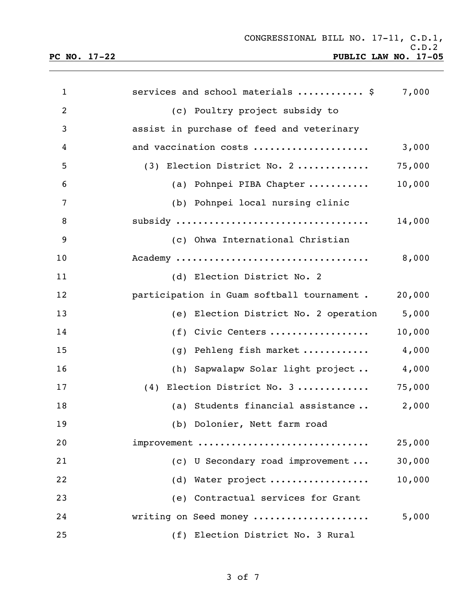**PC NO. 17-22 PUBLIC LAW NO. 17-05**

| $\mathbf{1}$   | services and school materials  \$          | 7,000  |
|----------------|--------------------------------------------|--------|
| $\overline{2}$ | (c) Poultry project subsidy to             |        |
| 3              | assist in purchase of feed and veterinary  |        |
| 4              | and vaccination costs                      | 3,000  |
| 5              | $(3)$ Election District No. 2              | 75,000 |
| 6              | (a) Pohnpei PIBA Chapter                   | 10,000 |
| 7              | (b) Pohnpei local nursing clinic           |        |
| 8              |                                            | 14,000 |
| 9              | (c) Ohwa International Christian           |        |
| 10             | Academy                                    | 8,000  |
| 11             | (d) Election District No. 2                |        |
| 12             | participation in Guam softball tournament. | 20,000 |
| 13             | (e) Election District No. 2 operation      | 5,000  |
| 14             | (f) Civic Centers                          | 10,000 |
| 15             | (g) Pehleng fish market                    | 4,000  |
| 16             | (h) Sapwalapw Solar light project          | 4,000  |
| 17             | $(4)$ Election District No. 3              | 75,000 |
| 18             | (a) Students financial assistance 2,000    |        |
| 19             | (b) Dolonier, Nett farm road               |        |
| 20             | improvement                                | 25,000 |
| 21             | (c) U Secondary road improvement           | 30,000 |
| 22             | (d) Water project                          | 10,000 |
| 23             | (e) Contractual services for Grant         |        |
| 24             | writing on Seed money                      | 5,000  |
| 25             | (f) Election District No. 3 Rural          |        |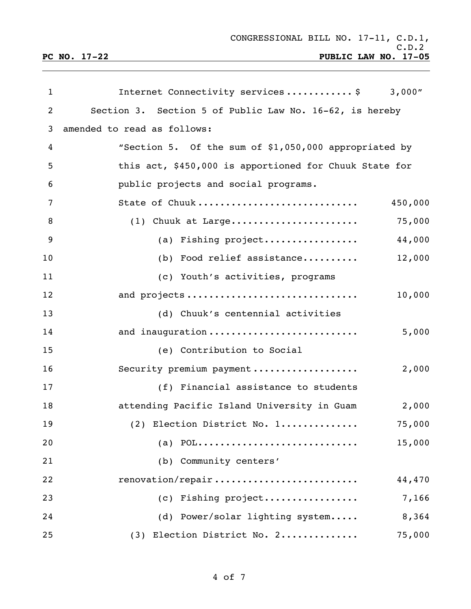| $\mathbf{1}$   | Internet Connectivity services\$<br>3,000"              |  |
|----------------|---------------------------------------------------------|--|
| $\overline{2}$ | Section 3. Section 5 of Public Law No. 16-62, is hereby |  |
| 3              | amended to read as follows:                             |  |
| 4              | "Section 5. Of the sum of \$1,050,000 appropriated by   |  |
| 5              | this act, \$450,000 is apportioned for Chuuk State for  |  |
| 6              | public projects and social programs.                    |  |
| 7              | State of Chuuk<br>450,000                               |  |
| 8              | 75,000<br>$(1)$ Chuuk at Large                          |  |
| 9              | 44,000<br>(a) Fishing project                           |  |
| 10             | 12,000<br>(b) Food relief assistance                    |  |
| 11             | (c) Youth's activities, programs                        |  |
| 12             | and projects<br>10,000                                  |  |
| 13             | (d) Chuuk's centennial activities                       |  |
| 14             | 5,000<br>and inauguration                               |  |
| 15             | (e) Contribution to Social                              |  |
| 16             | Security premium payment<br>2,000                       |  |
| 17             | (f) Financial assistance to students                    |  |
| 18             | attending Pacific Island University in Guam<br>2,000    |  |
| 19             | 75,000<br>(2) Election District No. 1                   |  |
| 20             | (a) $POL$<br>15,000                                     |  |
| 21             | (b) Community centers'                                  |  |
| 22             | renovation/repair<br>44,470                             |  |
| 23             | (c) Fishing project<br>7,166                            |  |
| 24             | 8,364<br>(d) Power/solar lighting system                |  |
| 25             | (3) Election District No. 2<br>75,000                   |  |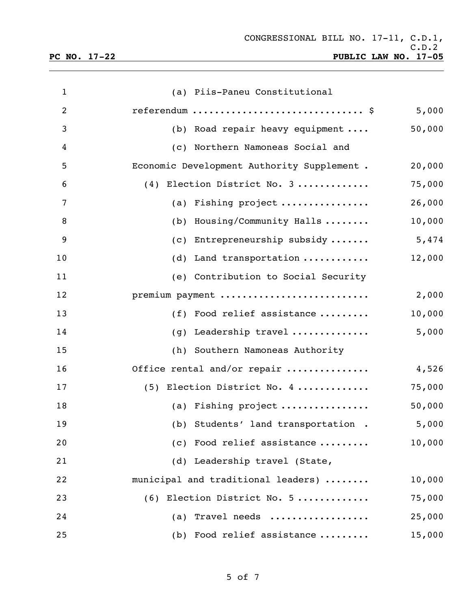| $\mathbf{1}$   | (a) Piis-Paneu Constitutional              |        |
|----------------|--------------------------------------------|--------|
| $\overline{2}$ | referendum $\frac{1}{2}$                   | 5,000  |
| 3              | (b) Road repair heavy equipment $\ldots$   | 50,000 |
| 4              | (c) Northern Namoneas Social and           |        |
| 5              | Economic Development Authority Supplement. | 20,000 |
| 6              | (4) Election District No. 3                | 75,000 |
| 7              | (a) Fishing project                        | 26,000 |
| 8              | (b) Housing/Community Halls                | 10,000 |
| 9              | (c) Entrepreneurship subsidy               | 5,474  |
| 10             | Land transportation<br>(d)                 | 12,000 |
| 11             | (e) Contribution to Social Security        |        |
| 12             | premium payment                            | 2,000  |
| 13             | (f) Food relief assistance                 | 10,000 |
| 14             | (g) Leadership travel                      | 5,000  |
| 15             | (h) Southern Namoneas Authority            |        |
| 16             | Office rental and/or repair                | 4,526  |
| 17             | (5) Election District No. 4                | 75,000 |
| 18             | (a) Fishing project                        | 50,000 |
| 19             | (b) Students' land transportation . 5,000  |        |
| 20             | (c) Food relief assistance                 | 10,000 |
| 21             | (d) Leadership travel (State,              |        |
| 22             | municipal and traditional leaders)         | 10,000 |
| 23             | $(6)$ Election District No. 5              | 75,000 |
| 24             | (a) Travel needs                           | 25,000 |
| 25             | (b) Food relief assistance                 | 15,000 |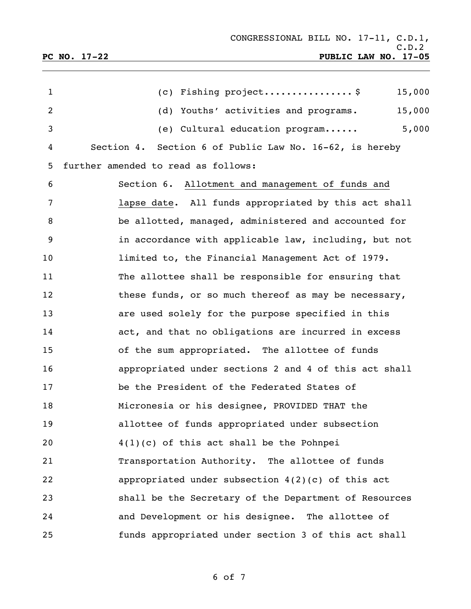| $\mathbf{1}$   | (c) Fishing project \$<br>15,000                        |
|----------------|---------------------------------------------------------|
| $\overline{2}$ | (d) Youths' activities and programs.<br>15,000          |
| 3              | 5,000<br>(e) Cultural education program                 |
| 4              | Section 4. Section 6 of Public Law No. 16-62, is hereby |
| 5              | further amended to read as follows:                     |
| 6              | Section 6. Allotment and management of funds and        |
| 7              | lapse date. All funds appropriated by this act shall    |
| 8              | be allotted, managed, administered and accounted for    |
| 9              | in accordance with applicable law, including, but not   |
| 10             | limited to, the Financial Management Act of 1979.       |
| 11             | The allottee shall be responsible for ensuring that     |
| 12             | these funds, or so much thereof as may be necessary,    |
| 13             | are used solely for the purpose specified in this       |
| 14             | act, and that no obligations are incurred in excess     |
| 15             | of the sum appropriated. The allottee of funds          |
| 16             | appropriated under sections 2 and 4 of this act shall   |
| 17             | be the President of the Federated States of             |
| 18             | Micronesia or his designee, PROVIDED THAT the           |
| 19             | allottee of funds appropriated under subsection         |
| 20             | $4(1)(c)$ of this act shall be the Pohnpei              |
| 21             | Transportation Authority. The allottee of funds         |
| 22             | appropriated under subsection $4(2)(c)$ of this act     |
| 23             | shall be the Secretary of the Department of Resources   |
| 24             | and Development or his designee. The allottee of        |
| 25             | funds appropriated under section 3 of this act shall    |

of 7